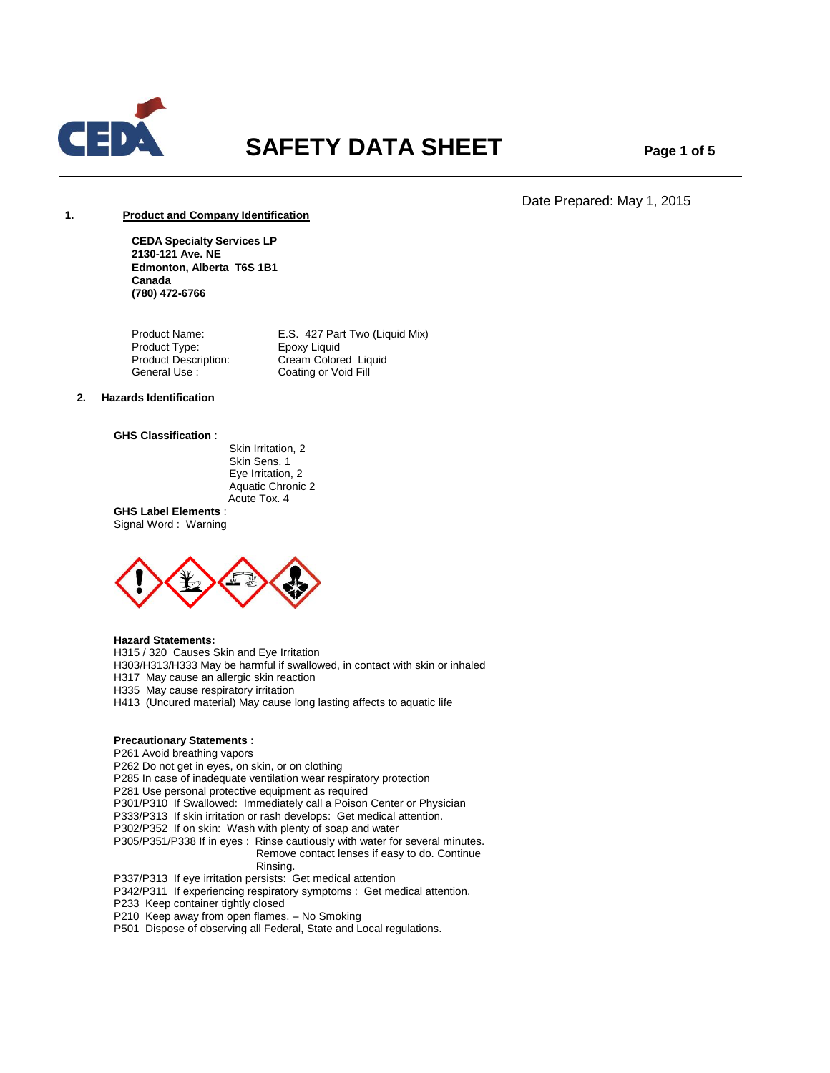

# **SAFETY DATA SHEET Page 1 of 5**

Date Prepared: May 1, 2015

# **1. Product and Company Identification**

**CEDA Specialty Services LP 2130-121 Ave. NE Edmonton, Alberta T6S 1B1 Canada (780) 472-6766**

Product Name: E.S. 427 Part Two (Liquid Mix)<br>Product Type: Epoxy Liquid Product Type: Product Description: Cream Colored Liquid<br>
General Use: Coating or Void Fill Coating or Void Fill

# **2. Hazards Identification**

#### **GHS Classification** :

 Skin Irritation, 2 Skin Sens. 1 Eye Irritation, 2 Aquatic Chronic 2 Acute Tox. 4

**GHS Label Elements** : Signal Word : Warning



# **Hazard Statements:**

H315 / 320 Causes Skin and Eye Irritation

H303/H313/H333 May be harmful if swallowed, in contact with skin or inhaled

H317 May cause an allergic skin reaction

H335 May cause respiratory irritation

H413 (Uncured material) May cause long lasting affects to aquatic life

# **Precautionary Statements :**

P261 Avoid breathing vapors

P262 Do not get in eyes, on skin, or on clothing

P285 In case of inadequate ventilation wear respiratory protection

P281 Use personal protective equipment as required

P301/P310 If Swallowed: Immediately call a Poison Center or Physician

P333/P313 If skin irritation or rash develops: Get medical attention.

P302/P352 If on skin: Wash with plenty of soap and water

P305/P351/P338 If in eyes : Rinse cautiously with water for several minutes. Remove contact lenses if easy to do. Continue Rinsing.

P337/P313 If eye irritation persists: Get medical attention

P342/P311 If experiencing respiratory symptoms : Get medical attention.

P233 Keep container tightly closed

P210 Keep away from open flames. – No Smoking

P501 Dispose of observing all Federal, State and Local regulations.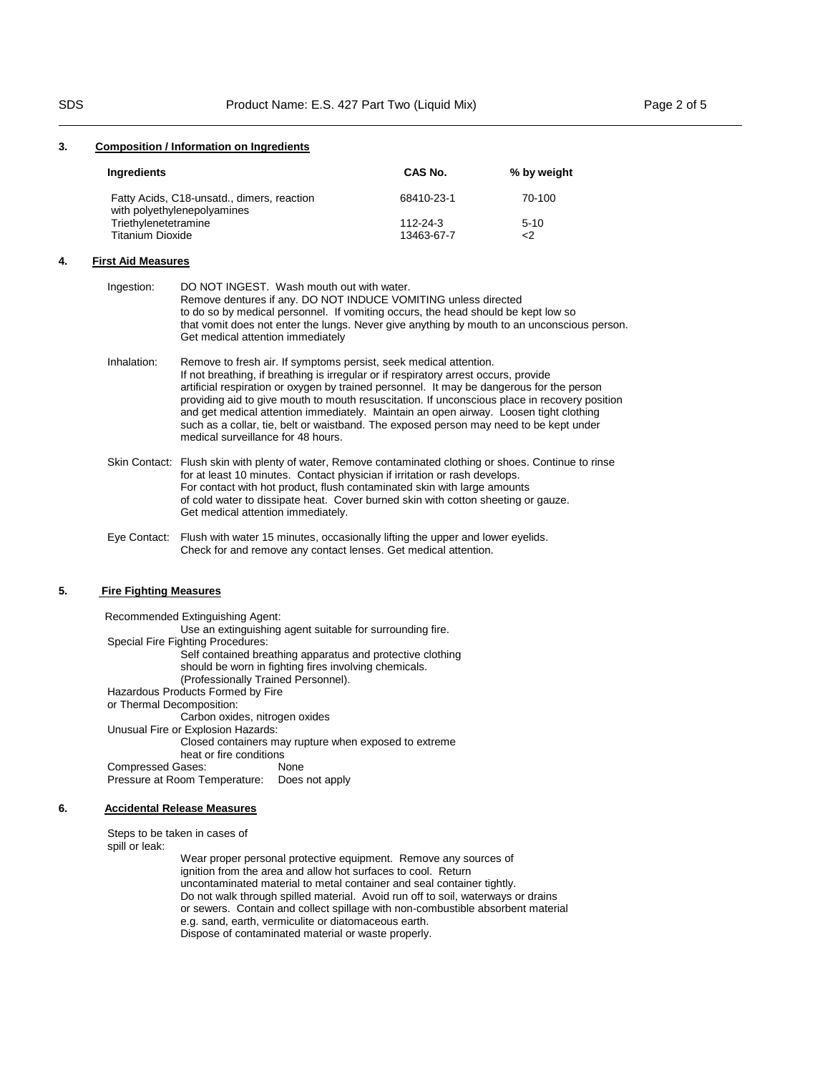#### **3. Composition / Information on Ingredients**

| Ingredients                                                               | CAS No.    | % by weight |
|---------------------------------------------------------------------------|------------|-------------|
| Fatty Acids, C18-unsatd., dimers, reaction<br>with polyethylenepolyamines | 68410-23-1 | 70-100      |
| Triethylenetetramine                                                      | 112-24-3   | $5 - 10$    |
| Titanium Dioxide                                                          | 13463-67-7 | <2          |

### **4. First Aid Measures**

| Ingestion:  | DO NOT INGEST. Wash mouth out with water.<br>Remove dentures if any. DO NOT INDUCE VOMITING unless directed<br>to do so by medical personnel. If vomiting occurs, the head should be kept low so<br>that vomit does not enter the lungs. Never give anything by mouth to an unconscious person.<br>Get medical attention immediately                                                                                                                                                                                                                                             |
|-------------|----------------------------------------------------------------------------------------------------------------------------------------------------------------------------------------------------------------------------------------------------------------------------------------------------------------------------------------------------------------------------------------------------------------------------------------------------------------------------------------------------------------------------------------------------------------------------------|
| Inhalation: | Remove to fresh air. If symptoms persist, seek medical attention.<br>If not breathing, if breathing is irregular or if respiratory arrest occurs, provide<br>artificial respiration or oxygen by trained personnel. It may be dangerous for the person<br>providing aid to give mouth to mouth resuscitation. If unconscious place in recovery position<br>and get medical attention immediately. Maintain an open airway. Loosen tight clothing<br>such as a collar, tie, belt or waistband. The exposed person may need to be kept under<br>medical surveillance for 48 hours. |
|             | Skin Contact: Flush skin with plenty of water, Remove contaminated clothing or shoes. Continue to rinse<br>for at least 10 minutes. Contact physician if irritation or rash develops.<br>For contact with hot product, flush contaminated skin with large amounts<br>of cold water to dissipate heat. Cover burned skin with cotton sheeting or gauze.<br>Get medical attention immediately.                                                                                                                                                                                     |

Eye Contact: Flush with water 15 minutes, occasionally lifting the upper and lower eyelids. Check for and remove any contact lenses. Get medical attention.

### **5. Fire Fighting Measures**

 Recommended Extinguishing Agent: Use an extinguishing agent suitable for surrounding fire. Special Fire Fighting Procedures: Self contained breathing apparatus and protective clothing should be worn in fighting fires involving chemicals. (Professionally Trained Personnel). Hazardous Products Formed by Fire or Thermal Decomposition: Carbon oxides, nitrogen oxides Unusual Fire or Explosion Hazards: Closed containers may rupture when exposed to extreme heat or fire conditions Compressed Gases: None Pressure at Room Temperature: Does not apply

#### **6. Accidental Release Measures**

Steps to be taken in cases of spill or leak:

 Wear proper personal protective equipment. Remove any sources of ignition from the area and allow hot surfaces to cool. Return uncontaminated material to metal container and seal container tightly. Do not walk through spilled material. Avoid run off to soil, waterways or drains or sewers. Contain and collect spillage with non-combustible absorbent material e.g. sand, earth, vermiculite or diatomaceous earth. Dispose of contaminated material or waste properly.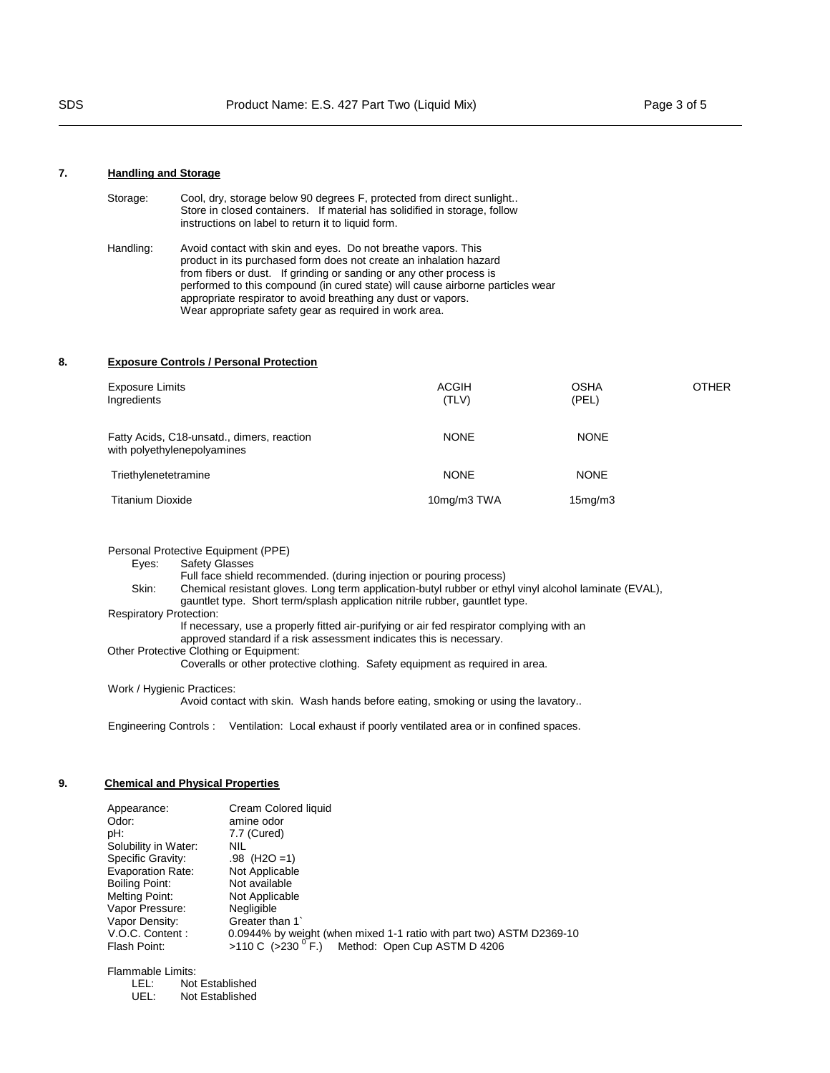# **7. Handling and Storage**

| Storage:  | Cool, dry, storage below 90 degrees F, protected from direct sunlight<br>Store in closed containers. If material has solidified in storage, follow<br>instructions on label to return it to liquid form.                                                                                                                                                                                                                |
|-----------|-------------------------------------------------------------------------------------------------------------------------------------------------------------------------------------------------------------------------------------------------------------------------------------------------------------------------------------------------------------------------------------------------------------------------|
| Handling: | Avoid contact with skin and eyes. Do not breathe vapors. This<br>product in its purchased form does not create an inhalation hazard<br>from fibers or dust. If grinding or sanding or any other process is<br>performed to this compound (in cured state) will cause airborne particles wear<br>appropriate respirator to avoid breathing any dust or vapors.<br>Wear appropriate safety gear as required in work area. |

# **8. Exposure Controls / Personal Protection**

| <b>Exposure Limits</b><br>Ingredients                                     | <b>ACGIH</b><br>(TLV) | <b>OSHA</b><br>(PEL) | <b>OTHER</b> |
|---------------------------------------------------------------------------|-----------------------|----------------------|--------------|
| Fatty Acids, C18-unsatd., dimers, reaction<br>with polyethylenepolyamines | <b>NONE</b>           | <b>NONE</b>          |              |
| Triethylenetetramine                                                      | <b>NONE</b>           | <b>NONE</b>          |              |
| <b>Titanium Dioxide</b>                                                   | 10mg/m3 TWA           | 15 <sub>mq</sub> /m3 |              |

Personal Protective Equipment (PPE)

Eyes: Safety Glasses

Full face shield recommended. (during injection or pouring process)<br>Skin: Chemical resistant gloves. Long term application-butyl rubber or eth Chemical resistant gloves. Long term application-butyl rubber or ethyl vinyl alcohol laminate (EVAL), gauntlet type. Short term/splash application nitrile rubber, gauntlet type.

# Respiratory Protection:

If necessary, use a properly fitted air-purifying or air fed respirator complying with an

approved standard if a risk assessment indicates this is necessary.

Other Protective Clothing or Equipment:

Coveralls or other protective clothing. Safety equipment as required in area.

Work / Hygienic Practices:

Avoid contact with skin. Wash hands before eating, smoking or using the lavatory..

Engineering Controls : Ventilation: Local exhaust if poorly ventilated area or in confined spaces.

### **9. Chemical and Physical Properties**

| Appearance:<br>Odor:<br>pH:<br>Solubility in Water:<br>Specific Gravity:<br><b>Evaporation Rate:</b><br><b>Boiling Point:</b><br>Melting Point:<br>Vapor Pressure:<br>Vapor Density:<br>V.O.C. Content: | Cream Colored liquid<br>amine odor<br>7.7 (Cured)<br><b>NIL</b><br>$.98$ (H <sub>2</sub> O = 1)<br>Not Applicable<br>Not available<br>Not Applicable<br>Negligible<br>Greater than 1<br>0.0944% by weight (when mixed 1-1 ratio with part two) ASTM D2369-10 |
|---------------------------------------------------------------------------------------------------------------------------------------------------------------------------------------------------------|--------------------------------------------------------------------------------------------------------------------------------------------------------------------------------------------------------------------------------------------------------------|
| Flash Point:                                                                                                                                                                                            | >110 C (>230 $\degree$ F.)<br>Method: Open Cup ASTM D 4206                                                                                                                                                                                                   |

Flammable Limits:

| LEL: | Not Established |
|------|-----------------|
| UEL: | Not Established |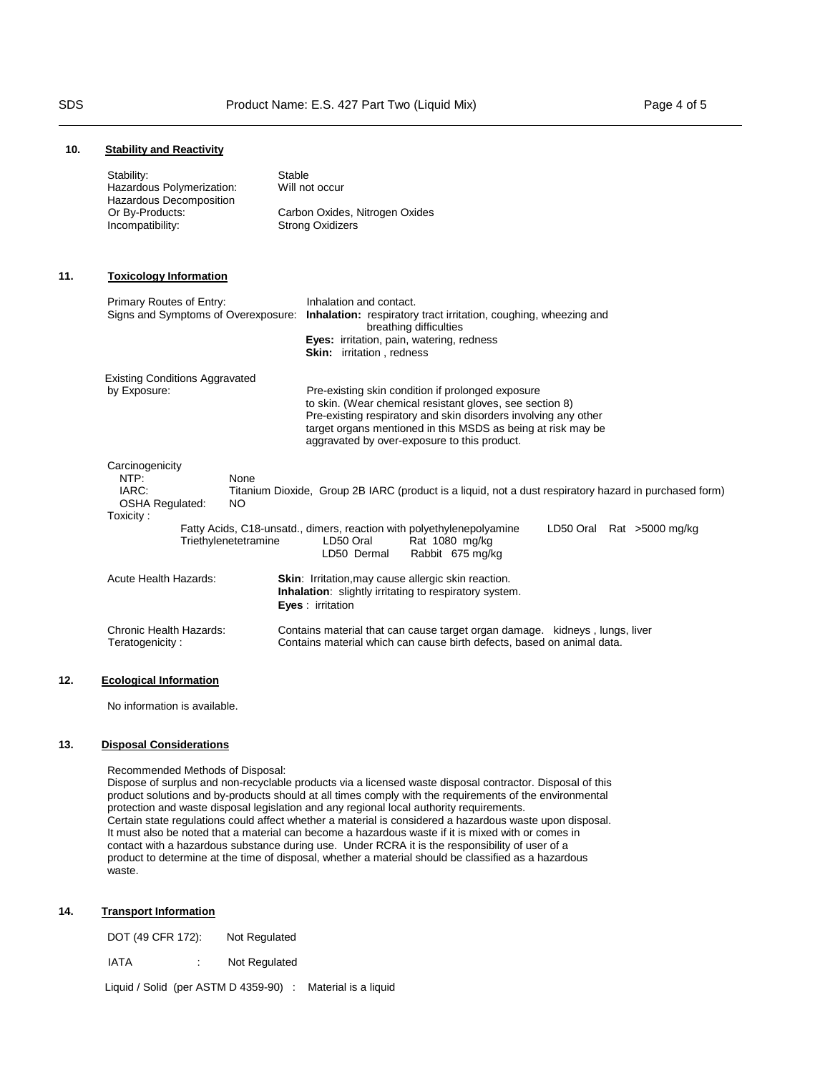# **10. Stability and Reactivity**

|     | Stability:<br>Hazardous Polymerization:<br>Hazardous Decomposition<br>Or By-Products: | Stable<br>Will not occur<br>Carbon Oxides, Nitrogen Oxides                                                                                                                                                                                                                                       |
|-----|---------------------------------------------------------------------------------------|--------------------------------------------------------------------------------------------------------------------------------------------------------------------------------------------------------------------------------------------------------------------------------------------------|
|     | Incompatibility:                                                                      | <b>Strong Oxidizers</b>                                                                                                                                                                                                                                                                          |
| 11. | <b>Toxicology Information</b>                                                         |                                                                                                                                                                                                                                                                                                  |
|     | Primary Routes of Entry:<br>Signs and Symptoms of Overexposure:                       | Inhalation and contact.<br>Inhalation: respiratory tract irritation, coughing, wheezing and<br>breathing difficulties<br>Eyes: irritation, pain, watering, redness<br><b>Skin:</b> irritation, redness                                                                                           |
|     | <b>Existing Conditions Aggravated</b><br>by Exposure:                                 | Pre-existing skin condition if prolonged exposure<br>to skin. (Wear chemical resistant gloves, see section 8)<br>Pre-existing respiratory and skin disorders involving any other<br>target organs mentioned in this MSDS as being at risk may be<br>aggravated by over-exposure to this product. |
|     | Carcinogenicity<br>NTP:<br>None<br>IARC:<br>OSHA Regulated:<br><b>NO</b><br>Toxicity: | Titanium Dioxide, Group 2B IARC (product is a liquid, not a dust respiratory hazard in purchased form)                                                                                                                                                                                           |
|     | Triethylenetetramine                                                                  | Fatty Acids, C18-unsatd., dimers, reaction with polyethylenepolyamine<br>LD50 Oral Rat >5000 mg/kg<br>LD50 Oral<br>Rat 1080 mg/kg<br>Rabbit 675 mg/kg<br>LD50 Dermal                                                                                                                             |
|     | <b>Acute Health Hazards:</b>                                                          | <b>Skin:</b> Irritation, may cause allergic skin reaction.<br>Inhalation: slightly irritating to respiratory system.<br>Eves: irritation                                                                                                                                                         |
|     | Chronic Health Hazards:<br>Teratogenicity:                                            | Contains material that can cause target organ damage. kidneys, lungs, liver<br>Contains material which can cause birth defects, based on animal data.                                                                                                                                            |
| 12. | <b>Ecological Information</b>                                                         |                                                                                                                                                                                                                                                                                                  |

No information is available.

# **13. Disposal Considerations**

Recommended Methods of Disposal:

Dispose of surplus and non-recyclable products via a licensed waste disposal contractor. Disposal of this product solutions and by-products should at all times comply with the requirements of the environmental protection and waste disposal legislation and any regional local authority requirements. Certain state regulations could affect whether a material is considered a hazardous waste upon disposal. It must also be noted that a material can become a hazardous waste if it is mixed with or comes in contact with a hazardous substance during use. Under RCRA it is the responsibility of user of a product to determine at the time of disposal, whether a material should be classified as a hazardous .<br>waste.

#### **14. Transport Information**

| DOT (49 CFR 172): | Not Regulated |                                                            |
|-------------------|---------------|------------------------------------------------------------|
| IATA              | Not Regulated |                                                            |
|                   |               | Liquid / Solid (per ASTM D 4359-90) : Material is a liquid |